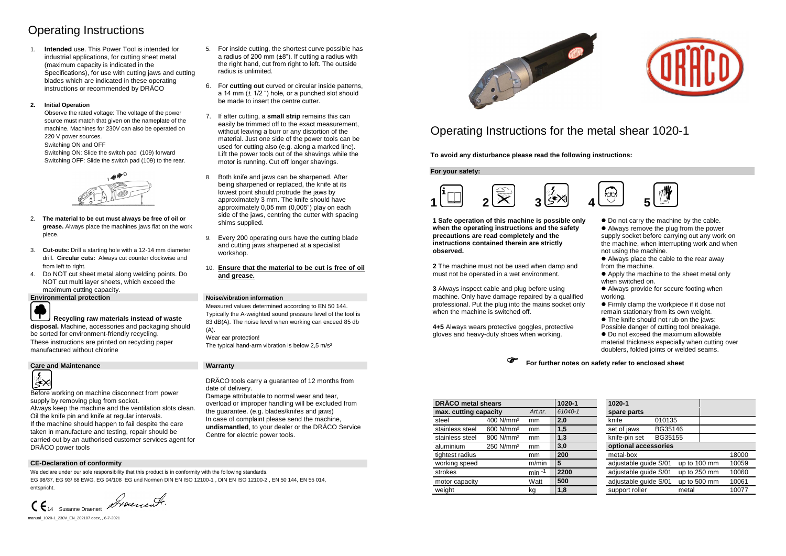# Operating Instructions

1. **Intended** use. This Power Tool is intended for industrial applications, for cutting sheet metal (maximum capacity is indicated in the Specifications), for use with cutting jaws and cutting blades which are indicated in these operating instructions or recommended by DRÄCO

### **2. Initial Operation**

Observe the rated voltage: The voltage of the power source must match that given on the nameplate of the machine. Machines for 230V can also be operated on 220 V power sources.

Switching ON and OFF

Switching ON: Slide the switch pad (109) forward Switching OFF: Slide the switch pad (109) to the rear.



- 2. **The material to be cut must always be free of oil or grease.** Always place the machines jaws flat on the work piece.
- 3. **Cut-outs:** Drill a starting hole with a 12-14 mm diameter drill. **Circular cuts:** Always cut counter clockwise and from left to right.
- 4. Do NOT cut sheet metal along welding points. Do NOT cut multi layer sheets, which exceed the maximum cutting capacity.

Before working on machine disconnect from power supply by removing plug from socket.

- 5. For inside cutting, the shortest curve possible has a radius of 200 mm  $(\pm 8)$ . If cutting a radius with the right hand, cut from right to left. The outside radius is unlimited.
- 6. For **cutting out** curved or circular inside patterns, a 14 mm  $(\pm 1/2)$  hole, or a punched slot should be made to insert the centre cutter.
- 7. If after cutting, a **small strip** remains this can easily be trimmed off to the exact measurement, without leaving a burr or any distortion of the material. Just one side of the power tools can be used for cutting also (e.g. along a marked line). Lift the power tools out of the shavings while the motor is running. Cut off longer shavings.
- 8. Both knife and jaws can be sharpened. After being sharpened or replaced, the knife at its lowest point should protrude the jaws by approximately 3 mm. The knife should have approximately 0,05 mm (0,005") play on each side of the jaws, centring the cutter with spacing shims supplied.
- 9. Every 200 operating ours have the cutting blade and cutting jaws sharpened at a specialist workshop.
- 10. **Ensure that the material to be cut is free of oil and grease.**

**Environmental protection Noise/vibration information** 



# **Recycling raw materials instead of waste**

 $\bullet$  Do not carry the machine by the cable. Always remove the plug from the power supply socket before carrying out any work on the machine, when interrupting work and when not using the machine.

**disposal.** Machine, accessories and packaging should be sorted for environment-friendly recycling. These instructions are printed on recycling paper manufactured without chlorine

### **Care and Maintenance Warranty**



Measured values determined according to EN 50 144. Typically the A-weighted sound pressure level of the tool is 83 dB(A). The noise level when working can exceed 85 db  $(A)$ . Wear ear protection!

The typical hand-arm vibration is below 2,5 m/s<sup>2</sup>

Always keep the machine and the ventilation slots clean. Oil the knife pin and knife at regular intervals. If the machine should happen to fail despite the care taken in manufacture and testing, repair should be carried out by an authorised customer services agent for DRÄCO power tools

DRÄCO tools carry a guarantee of 12 months from date of delivery.

Damage attributable to normal wear and tear, overload or improper handling will be excluded from the guarantee. (e.g. blades/knifes and jaws) In case of complaint please send the machine, **undismantled**, to your dealer or the DRÄCO Service Centre for electric power tools.



### **CE-Declaration of conformity**

We declare under our sole responsibility that this product is in conformity with the following standards. EG 98/37, EG 93/ 68 EWG, EG 04/108 EG und Normen DIN EN ISO 12100-1 , DIN EN ISO 12100-2 , EN 50 144, EN 55 014, entspricht.

CE 14 Susanne Draenert Drocercente.

manual 1020-1 230V EN 202107.docx, , 6-7-2021

# Operating Instructions for the metal shear 1020-1

**To avoid any disturbance please read the following instructions:**

**For your safety:**



**1 Safe operation of this machine is possible only when the operating instructions and the safety precautions are read completely and the instructions contained therein are strictly observed.**

**2** The machine must not be used when damp and must not be operated in a wet environment.

**3** Always inspect cable and plug before using machine. Only have damage repaired by a qualified professional. Put the plug into the mains socket only when the machine is switched off.

**4+5** Always wears protective goggles, protective gloves and heavy-duty shoes when working.

 Always place the cable to the rear away from the machine.

 Apply the machine to the sheet metal only when switched on.

 Always provide for secure footing when working.

 Firmly clamp the workpiece if it dose not remain stationary from its own weight.

The knife should not rub on the jaws:

Possible danger of cutting tool breakage.

 $\bullet$  Do not exceed the maximum allowable

material thickness especially when cutting over doublers, folded joints or welded seams.



| <b>DRÄCO</b> metal shears        |                       |          | 1020-1      | 1020-1                                         |  |  |  |  |
|----------------------------------|-----------------------|----------|-------------|------------------------------------------------|--|--|--|--|
| Art.nr.<br>max. cutting capacity |                       | 61040-1  | spare parts |                                                |  |  |  |  |
| steel                            | 400 N/mm <sup>2</sup> | mm       | 2,0         | 010135<br>knife                                |  |  |  |  |
| stainless steel                  | 600 N/mm <sup>2</sup> | mm       | 1,5         | BG35146<br>set of jaws                         |  |  |  |  |
| stainless steel                  | 800 N/mm <sup>2</sup> | mm       | 1,3         | BG35155<br>knife-pin set                       |  |  |  |  |
| aluminium                        | 250 N/mm <sup>2</sup> | mm       | 3,0         | optional accessories                           |  |  |  |  |
| tightest radius                  |                       | mm       | 200         | metal-box<br>18000                             |  |  |  |  |
| working speed                    |                       | m/min    | 5           | adjustable guide S/01<br>up to 100 mm<br>10059 |  |  |  |  |
| strokes                          |                       | $min -1$ | 2200        | adjustable guide S/01<br>up to 250 mm<br>10060 |  |  |  |  |
| motor capacity                   |                       | Watt     | 500         | adjustable guide S/01<br>up to 500 mm<br>10061 |  |  |  |  |
| weight                           |                       | kg       | 1,8         | support roller<br>10077<br>metal               |  |  |  |  |